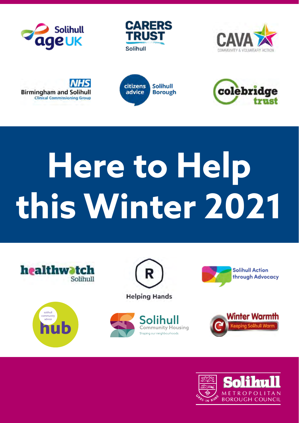











# **Here to Help this Winter 2021**







**Helping Hands** 







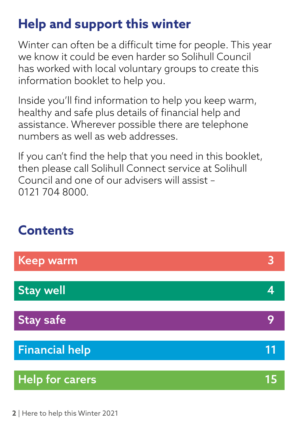## **Help and support this winter**

Winter can often be a difficult time for people. This year we know it could be even harder so Solihull Council has worked with local voluntary groups to create this information booklet to help you.

Inside you'll find information to help you keep warm, healthy and safe plus details of financial help and assistance. Wherever possible there are telephone numbers as well as web addresses.

If you can't find the help that you need in this booklet, then please call Solihull Connect service at Solihull Council and one of our advisers will assist – 0121 704 8000.

## **Contents**

| Keep warm              |    |
|------------------------|----|
| <b>Stay well</b>       |    |
| <b>Stay safe</b>       |    |
| <b>Financial help</b>  | 11 |
|                        |    |
| <b>Help for carers</b> | 15 |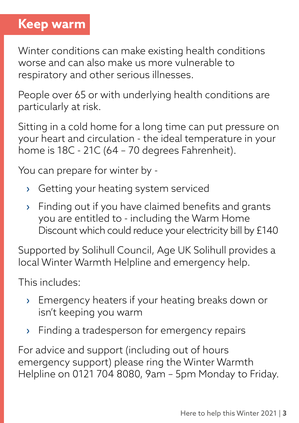### **Keep warm**

Winter conditions can make existing health conditions worse and can also make us more vulnerable to respiratory and other serious illnesses.

People over 65 or with underlying health conditions are particularly at risk.

Sitting in a cold home for a long time can put pressure on your heart and circulation - the ideal temperature in your home is 18C - 21C (64 – 70 degrees Fahrenheit).

You can prepare for winter by -

- › Getting your heating system serviced
- › Finding out if you have claimed benefits and grants you are entitled to - including the Warm Home Discount which could reduce your electricity bill by £140

Supported by Solihull Council, Age UK Solihull provides a local Winter Warmth Helpline and emergency help.

This includes:

- › Emergency heaters if your heating breaks down or isn't keeping you warm
- › Finding a tradesperson for emergency repairs

For advice and support (including out of hours emergency support) please ring the Winter Warmth Helpline on 0121 704 8080, 9am – 5pm Monday to Friday.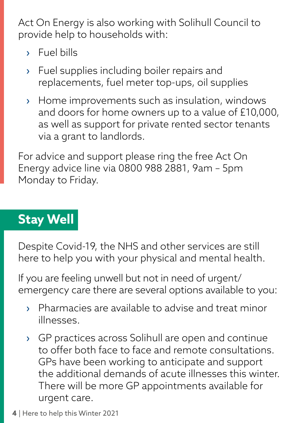Act On Energy is also working with Solihull Council to provide help to households with:

- › Fuel bills
- › Fuel supplies including boiler repairs and replacements, fuel meter top-ups, oil supplies
- › Home improvements such as insulation, windows and doors for home owners up to a value of £10,000, as well as support for private rented sector tenants via a grant to landlords.

For advice and support please ring the free Act On Energy advice line via 0800 988 2881, 9am – 5pm Monday to Friday.

## **Stay Well**

Despite Covid-19, the NHS and other services are still here to help you with your physical and mental health.

If you are feeling unwell but not in need of urgent/ emergency care there are several options available to you:

- › Pharmacies are available to advise and treat minor illnesses.
- › GP practices across Solihull are open and continue to offer both face to face and remote consultations. GPs have been working to anticipate and support the additional demands of acute illnesses this winter. There will be more GP appointments available for urgent care.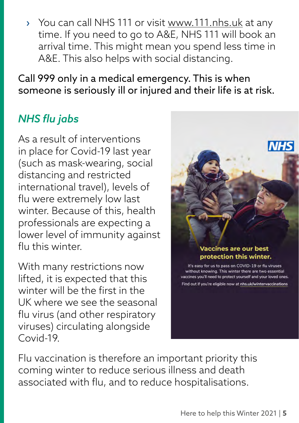› You can call NHS 111 or visit [www.111.nhs.uk](http://www.111.nhs.uk) at any time. If you need to go to A&E, NHS 111 will book an arrival time. This might mean you spend less time in A&E. This also helps with social distancing.

Call 999 only in a medical emergency. This is when someone is seriously ill or injured and their life is at risk.

#### *NHS flu jabs*

As a result of interventions in place for Covid-19 last year (such as mask-wearing, social distancing and restricted international travel), levels of flu were extremely low last winter. Because of this, health professionals are expecting a lower level of immunity against flu this winter

With many restrictions now lifted, it is expected that this winter will be the first in the UK where we see the seasonal flu virus (and other respiratory viruses) circulating alongside Covid-19.

Flu vaccination is therefore an important priority this coming winter to reduce serious illness and death associated with flu, and to reduce hospitalisations.

#### **Vaccines are our best** protection this winter.

It's easy for us to pass on COVID-19 or flu viruses without knowing. This winter there are two essential vaccines you'll need to protect yourself and your loved ones. Find out if you're eligible now at nhs.uk/wintervaccinations

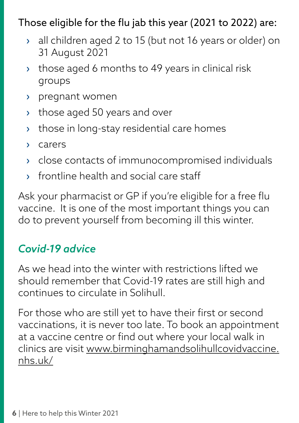#### Those eligible for the flu jab this year (2021 to 2022) are:

- › all children aged 2 to 15 (but not 16 years or older) on 31 August 2021
- › those aged 6 months to 49 years in clinical risk groups
- › pregnant women
- › those aged 50 years and over
- › those in long-stay residential care homes
- › carers
- › close contacts of immunocompromised individuals
- › frontline health and social care staff

Ask your pharmacist or GP if you're eligible for a free flu vaccine. It is one of the most important things you can do to prevent yourself from becoming ill this winter.

#### *Covid-19 advice*

As we head into the winter with restrictions lifted we should remember that Covid-19 rates are still high and continues to circulate in Solihull.

For those who are still yet to have their first or second vaccinations, it is never too late. To book an appointment at a vaccine centre or find out where your local walk in clinics are visit [www.birminghamandsolihullcovidvaccine.](http://www.birminghamandsolihullcovidvaccine.nhs.uk/) [nhs.uk/](http://www.birminghamandsolihullcovidvaccine.nhs.uk/)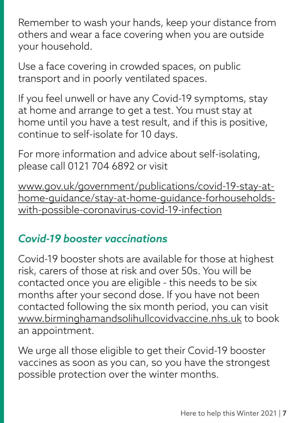Remember to wash your hands, keep your distance from others and wear a face covering when you are outside your household.

Use a face covering in crowded spaces, on public transport and in poorly ventilated spaces.

If you feel unwell or have any Covid-19 symptoms, stay at home and arrange to get a test. You must stay at home until you have a test result, and if this is positive, continue to self-isolate for 10 days.

For more information and advice about self-isolating, please call 0121 704 6892 or visit

[www.gov.uk/government/publications/covid-19-stay-at](http://www.gov.uk/government/publications/covid-19-stay-at-home-guidance/stay-at-home-guidance-forhouseholds-with-possible-coronavirus-covid-19-infection)[home-guidance/stay-at-home-guidance-forhouseholds](http://www.gov.uk/government/publications/covid-19-stay-at-home-guidance/stay-at-home-guidance-forhouseholds-with-possible-coronavirus-covid-19-infection)[with-possible-coronavirus-covid-19-infection](http://www.gov.uk/government/publications/covid-19-stay-at-home-guidance/stay-at-home-guidance-forhouseholds-with-possible-coronavirus-covid-19-infection)

#### *Covid-19 booster vaccinations*

Covid-19 booster shots are available for those at highest risk, carers of those at risk and over 50s. You will be contacted once you are eligible - this needs to be six months after your second dose. If you have not been contacted following the six month period, you can visit [www.birminghamandsolihullcovidvaccine.nhs.uk](http://www.birminghamandsolihullcovidvaccine.nhs.uk) to book an appointment.

We urge all those eligible to get their Covid-19 booster vaccines as soon as you can, so you have the strongest possible protection over the winter months.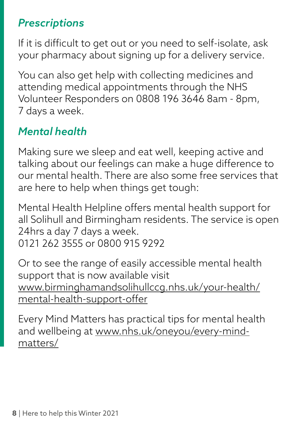#### *Prescriptions*

If it is difficult to get out or you need to self-isolate, ask your pharmacy about signing up for a delivery service.

You can also get help with collecting medicines and attending medical appointments through the NHS Volunteer Responders on 0808 196 3646 8am - 8pm, 7 days a week.

### *Mental health*

Making sure we sleep and eat well, keeping active and talking about our feelings can make a huge difference to our mental health. There are also some free services that are here to help when things get tough:

Mental Health Helpline offers mental health support for all Solihull and Birmingham residents. The service is open 24hrs a day 7 days a week. 0121 262 3555 or 0800 915 9292

Or to see the range of easily accessible mental health support that is now available visit [www.birminghamandsolihullccg.nhs.uk/your-health/](http://www.birminghamandsolihullccg.nhs.uk/your-health/mental-health-support-offer) [mental-health-support-offer](http://www.birminghamandsolihullccg.nhs.uk/your-health/mental-health-support-offer)

Every Mind Matters has practical tips for mental health and wellbeing at [www.nhs.uk/oneyou/every-mind](http://www.nhs.uk/oneyou/every-mind-matters/)[matters/](http://www.nhs.uk/oneyou/every-mind-matters/)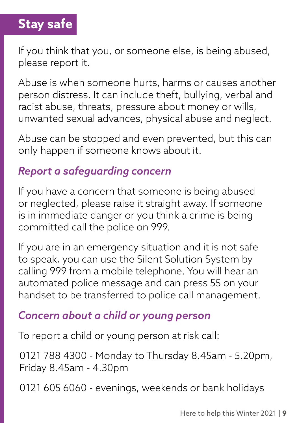## **Stay safe**

If you think that you, or someone else, is being abused, please report it.

Abuse is when someone hurts, harms or causes another person distress. It can include theft, bullying, verbal and racist abuse, threats, pressure about money or wills, unwanted sexual advances, physical abuse and neglect.

Abuse can be stopped and even prevented, but this can only happen if someone knows about it.

#### *Report a safeguarding concern*

If you have a concern that someone is being abused or neglected, please raise it straight away. If someone is in immediate danger or you think a crime is being committed call the police on 999.

If you are in an emergency situation and it is not safe to speak, you can use the Silent Solution System by calling 999 from a mobile telephone. You will hear an automated police message and can press 55 on your handset to be transferred to police call management.

#### *Concern about a child or young person*

To report a child or young person at risk call:

0121 788 4300 - Monday to Thursday 8.45am - 5.20pm, Friday 8.45am - 4.30pm

0121 605 6060 - evenings, weekends or bank holidays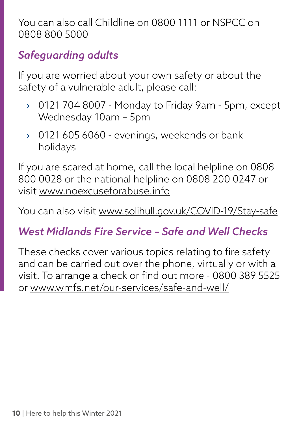You can also call Childline on 0800 1111 or NSPCC on 0808 800 5000

### *Safeguarding adults*

If you are worried about your own safety or about the safety of a vulnerable adult, please call:

- › 0121 704 8007 Monday to Friday 9am 5pm, except Wednesday 10am – 5pm
- › 0121 605 6060 evenings, weekends or bank holidays

If you are scared at home, call the local helpline on 0808 800 0028 or the national helpline on 0808 200 0247 or visit [www.noexcuseforabuse.info](http://www.noexcuseforabuse.info)

You can also visit [www.solihull.gov.uk/COVID-19/Stay-safe](http://www.solihull.gov.uk/COVID-19/Stay-safe)

#### *West Midlands Fire Service – Safe and Well Checks*

These checks cover various topics relating to fire safety and can be carried out over the phone, virtually or with a visit. To arrange a check or find out more - 0800 389 5525 or [www.wmfs.net/our-services/safe-and-well/](http://www.wmfs.net/our-services/safe-and-well/)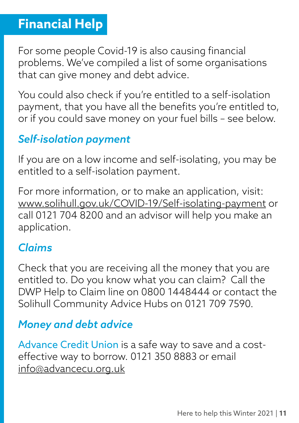## **Financial Help**

For some people Covid-19 is also causing financial problems. We've compiled a list of some organisations that can give money and debt advice.

You could also check if you're entitled to a self-isolation payment, that you have all the benefits you're entitled to, or if you could save money on your fuel bills – see below.

#### *Self-isolation payment*

If you are on a low income and self-isolating, you may be entitled to a self-isolation payment.

For more information, or to make an application, visit: [www.solihull.gov.uk/COVID-19/Self-isolating-payment](http://www.solihull.gov.uk/COVID-19/Self-isolating-payment) or call 0121 704 8200 and an advisor will help you make an application.

#### *Claims*

Check that you are receiving all the money that you are entitled to. Do you know what you can claim? Call the DWP Help to Claim line on 0800 1448444 or contact the Solihull Community Advice Hubs on 0121 709 7590.

#### *Money and debt advice*

Advance Credit Union is a safe way to save and a costeffective way to borrow. 0121 350 8883 or email [info@advancecu.org.uk](mailto:info@advancecu.org.uk)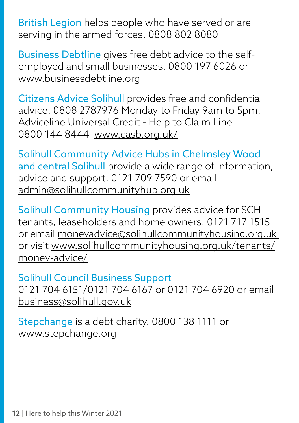British Legion helps people who have served or are serving in the armed forces. 0808 802 8080

Business Debtline gives free debt advice to the selfemployed and small businesses. 0800 197 6026 or [www.businessdebtline.org](http://www.businessdebtline.org) 

Citizens Advice Solihull provides free and confidential advice. 0808 2787976 Monday to Friday 9am to 5pm. Adviceline Universal Credit - Help to Claim Line 0800 144 8444 [www.casb.org.uk/](http://www.casb.org.uk/)

Solihull Community Advice Hubs in Chelmsley Wood and central Solihull provide a wide range of information, advice and support. 0121 709 7590 or email [admin@solihullcommunityhub.org.uk](mailto:admin@solihullcommunityhub.org.uk)

Solihull Community Housing provides advice for SCH tenants, leaseholders and home owners. 0121 717 1515 or email [moneyadvice@solihullcommunityhousing.org.uk](mailto:moneyadvice@solihullcommunityhousing.org.uk) or visit [www.solihullcommunityhousing.org.uk/tenants/](http://www.solihullcommunityhousing.org.uk/tenants/money-advice/) [money-advice/](http://www.solihullcommunityhousing.org.uk/tenants/money-advice/)

Solihull Council Business Support 0121 704 6151/0121 704 6167 or 0121 704 6920 or email [business@solihull.gov.uk](mailto:business@solihull.gov.uk)

Stepchange is a debt charity. 0800 138 1111 or [www.stepchange.org](http://www.stepchange.org)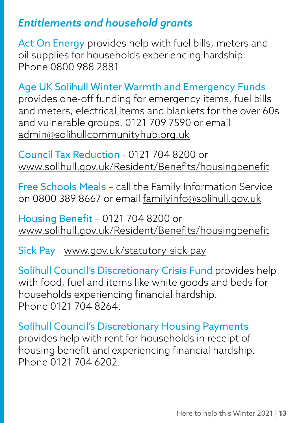#### *Entitlements and household grants*

Act On Energy provides help with fuel bills, meters and oil supplies for households experiencing hardship. Phone 0800 988 2881

Age UK Solihull Winter Warmth and Emergency Funds provides one-off funding for emergency items, fuel bills and meters, electrical items and blankets for the over 60s and vulnerable groups. 0121 709 7590 or email [admin@solihullcommunityhub.org.uk](mailto:admin@solihullcommunityhub.org.uk)

Council Tax Reduction - 0121 704 8200 or [www.solihull.gov.uk/Resident/Benefits/housingbenefit](http://www.solihull.gov.uk/Resident/Benefits/housingbenefit)

Free Schools Meals – call the Family Information Service on 0800 389 8667 or email [familyinfo@solihull.gov.uk](mailto:familyinfo@solihull.gov.uk)

Housing Benefit – 0121 704 8200 or [www.solihull.gov.uk/Resident/Benefits/housingbenefit](http://www.solihull.gov.uk/Resident/Benefits/housingbenefit)

Sick Pay - [www.gov.uk/statutory-sick-pay](http://www.gov.uk/statutory-sick-pay)

Solihull Council's Discretionary Crisis Fund provides help with food, fuel and items like white goods and beds for households experiencing financial hardship. Phone 0121 704 8264.

Solihull Council's Discretionary Housing Payments provides help with rent for households in receipt of housing benefit and experiencing financial hardship. Phone 0121 704 6202.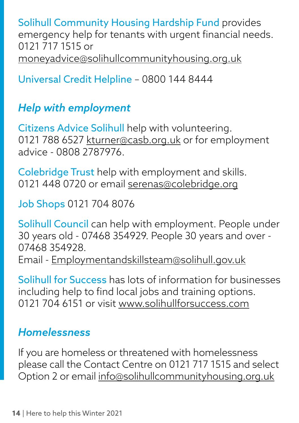Solihull Community Housing Hardship Fund provides emergency help for tenants with urgent financial needs. 0121 717 1515 or [moneyadvice@solihullcommunityhousing.org.uk](mailto:moneyadvice@solihullcommunityhousing.org.uk)

Universal Credit Helpline – 0800 144 8444

#### *Help with employment*

Citizens Advice Solihull help with volunteering. 0121 788 6527 [kturner@casb.org.uk](mailto:kturner@casb.org.uk) or for employment advice - 0808 2787976.

Colebridge Trust help with employment and skills. 0121 448 0720 or email [serenas@colebridge.org](mailto:serenas@colebridge.org)

Job Shops 0121 704 8076

Solihull Council can help with employment. People under 30 years old - 07468 354929. People 30 years and over - 07468 354928. Email - [Employmentandskillsteam@solihull.gov.uk](mailto:Employmentandskillsteam@solihull.gov.uk)

Solihull for Success has lots of information for businesses including help to find local jobs and training options. 0121 704 6151 or visit [www.solihullforsuccess.com](http://www.solihullforsuccess.com)

#### *Homelessness*

If you are homeless or threatened with homelessness please call the Contact Centre on 0121 717 1515 and select Option 2 or email [info@solihullcommunityhousing.org.uk](mailto:info@solihullcommunityhousing.org.uk)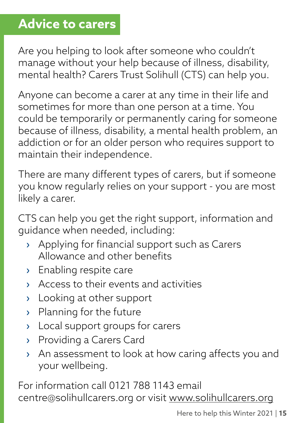## **Advice to carers**

Are you helping to look after someone who couldn't manage without your help because of illness, disability, mental health? Carers Trust Solihull (CTS) can help you.

Anyone can become a carer at any time in their life and sometimes for more than one person at a time. You could be temporarily or permanently caring for someone because of illness, disability, a mental health problem, an addiction or for an older person who requires support to maintain their independence.

There are many different types of carers, but if someone you know regularly relies on your support - you are most likely a carer.

CTS can help you get the right support, information and guidance when needed, including:

- › Applying for financial support such as Carers Allowance and other benefits
- › Enabling respite care
- › Access to their events and activities
- › Looking at other support
- › Planning for the future
- › Local support groups for carers
- › Providing a Carers Card
- › An assessment to look at how caring affects you and your wellbeing.

For information call 0121 788 1143 email centre@solihullcarers.org or visit [www.solihullcarers.org](http://www.solihullcarers.org)